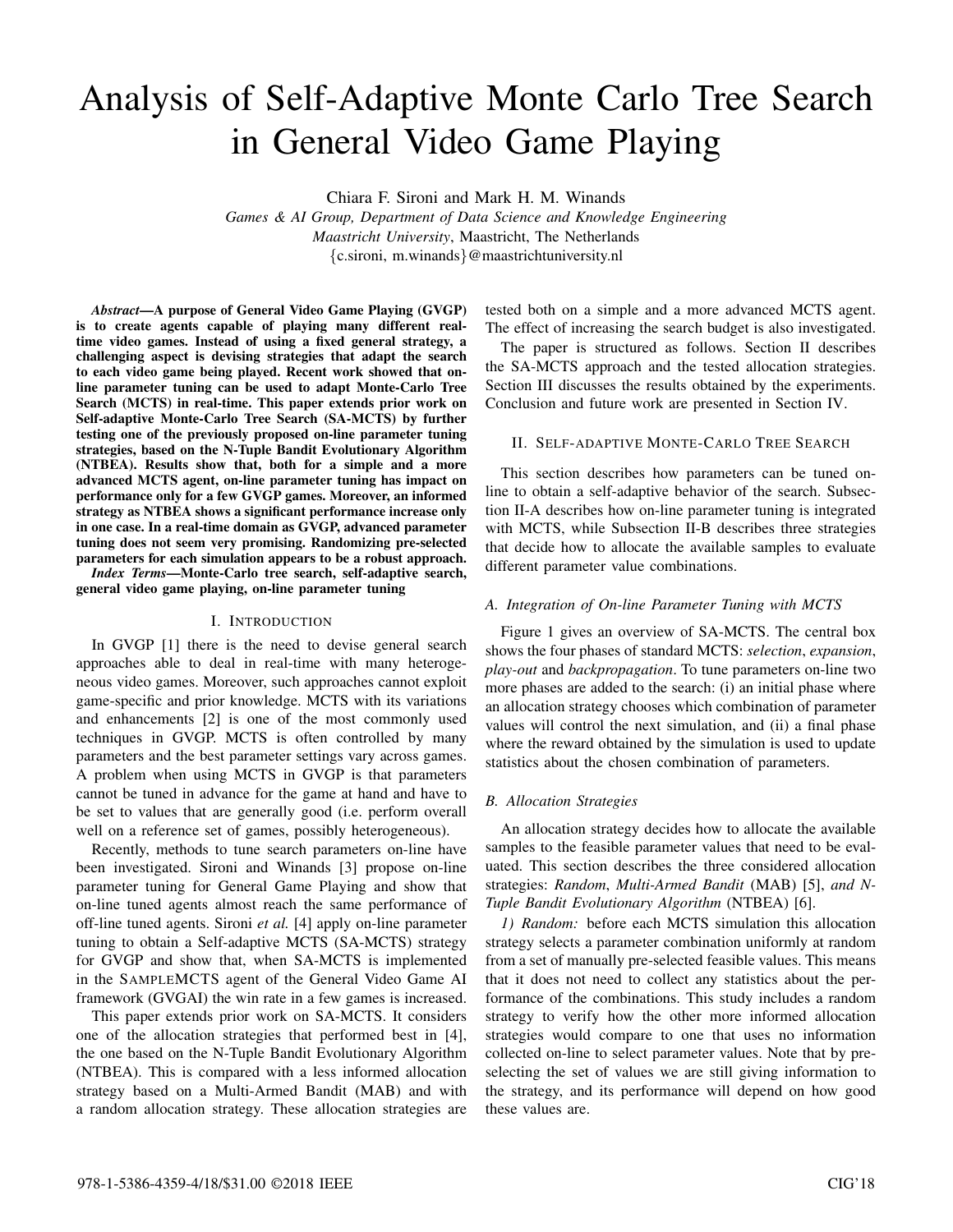# Analysis of Self-Adaptive Monte Carlo Tree Search in General Video Game Playing

Chiara F. Sironi and Mark H. M. Winands

*Games & AI Group, Department of Data Science and Knowledge Engineering Maastricht University*, Maastricht, The Netherlands {c.sironi, m.winands}@maastrichtuniversity.nl

*Abstract*—A purpose of General Video Game Playing (GVGP) is to create agents capable of playing many different realtime video games. Instead of using a fixed general strategy, a challenging aspect is devising strategies that adapt the search to each video game being played. Recent work showed that online parameter tuning can be used to adapt Monte-Carlo Tree Search (MCTS) in real-time. This paper extends prior work on Self-adaptive Monte-Carlo Tree Search (SA-MCTS) by further testing one of the previously proposed on-line parameter tuning strategies, based on the N-Tuple Bandit Evolutionary Algorithm (NTBEA). Results show that, both for a simple and a more advanced MCTS agent, on-line parameter tuning has impact on performance only for a few GVGP games. Moreover, an informed strategy as NTBEA shows a significant performance increase only in one case. In a real-time domain as GVGP, advanced parameter tuning does not seem very promising. Randomizing pre-selected parameters for each simulation appears to be a robust approach.

*Index Terms*—Monte-Carlo tree search, self-adaptive search, general video game playing, on-line parameter tuning

# I. INTRODUCTION

In GVGP [1] there is the need to devise general search approaches able to deal in real-time with many heterogeneous video games. Moreover, such approaches cannot exploit game-specific and prior knowledge. MCTS with its variations and enhancements [2] is one of the most commonly used techniques in GVGP. MCTS is often controlled by many parameters and the best parameter settings vary across games. A problem when using MCTS in GVGP is that parameters cannot be tuned in advance for the game at hand and have to be set to values that are generally good (i.e. perform overall well on a reference set of games, possibly heterogeneous).

Recently, methods to tune search parameters on-line have been investigated. Sironi and Winands [3] propose on-line parameter tuning for General Game Playing and show that on-line tuned agents almost reach the same performance of off-line tuned agents. Sironi *et al.* [4] apply on-line parameter tuning to obtain a Self-adaptive MCTS (SA-MCTS) strategy for GVGP and show that, when SA-MCTS is implemented in the SAMPLEMCTS agent of the General Video Game AI framework (GVGAI) the win rate in a few games is increased.

This paper extends prior work on SA-MCTS. It considers one of the allocation strategies that performed best in [4], the one based on the N-Tuple Bandit Evolutionary Algorithm (NTBEA). This is compared with a less informed allocation strategy based on a Multi-Armed Bandit (MAB) and with a random allocation strategy. These allocation strategies are

tested both on a simple and a more advanced MCTS agent. The effect of increasing the search budget is also investigated.

The paper is structured as follows. Section II describes the SA-MCTS approach and the tested allocation strategies. Section III discusses the results obtained by the experiments. Conclusion and future work are presented in Section IV.

# II. SELF-ADAPTIVE MONTE-CARLO TREE SEARCH

This section describes how parameters can be tuned online to obtain a self-adaptive behavior of the search. Subsection II-A describes how on-line parameter tuning is integrated with MCTS, while Subsection II-B describes three strategies that decide how to allocate the available samples to evaluate different parameter value combinations.

## *A. Integration of On-line Parameter Tuning with MCTS*

Figure 1 gives an overview of SA-MCTS. The central box shows the four phases of standard MCTS: *selection*, *expansion*, *play-out* and *backpropagation*. To tune parameters on-line two more phases are added to the search: (i) an initial phase where an allocation strategy chooses which combination of parameter values will control the next simulation, and (ii) a final phase where the reward obtained by the simulation is used to update statistics about the chosen combination of parameters.

#### *B. Allocation Strategies*

An allocation strategy decides how to allocate the available samples to the feasible parameter values that need to be evaluated. This section describes the three considered allocation strategies: *Random*, *Multi-Armed Bandit* (MAB) [5], *and N-Tuple Bandit Evolutionary Algorithm* (NTBEA) [6].

*1) Random:* before each MCTS simulation this allocation strategy selects a parameter combination uniformly at random from a set of manually pre-selected feasible values. This means that it does not need to collect any statistics about the performance of the combinations. This study includes a random strategy to verify how the other more informed allocation strategies would compare to one that uses no information collected on-line to select parameter values. Note that by preselecting the set of values we are still giving information to the strategy, and its performance will depend on how good these values are.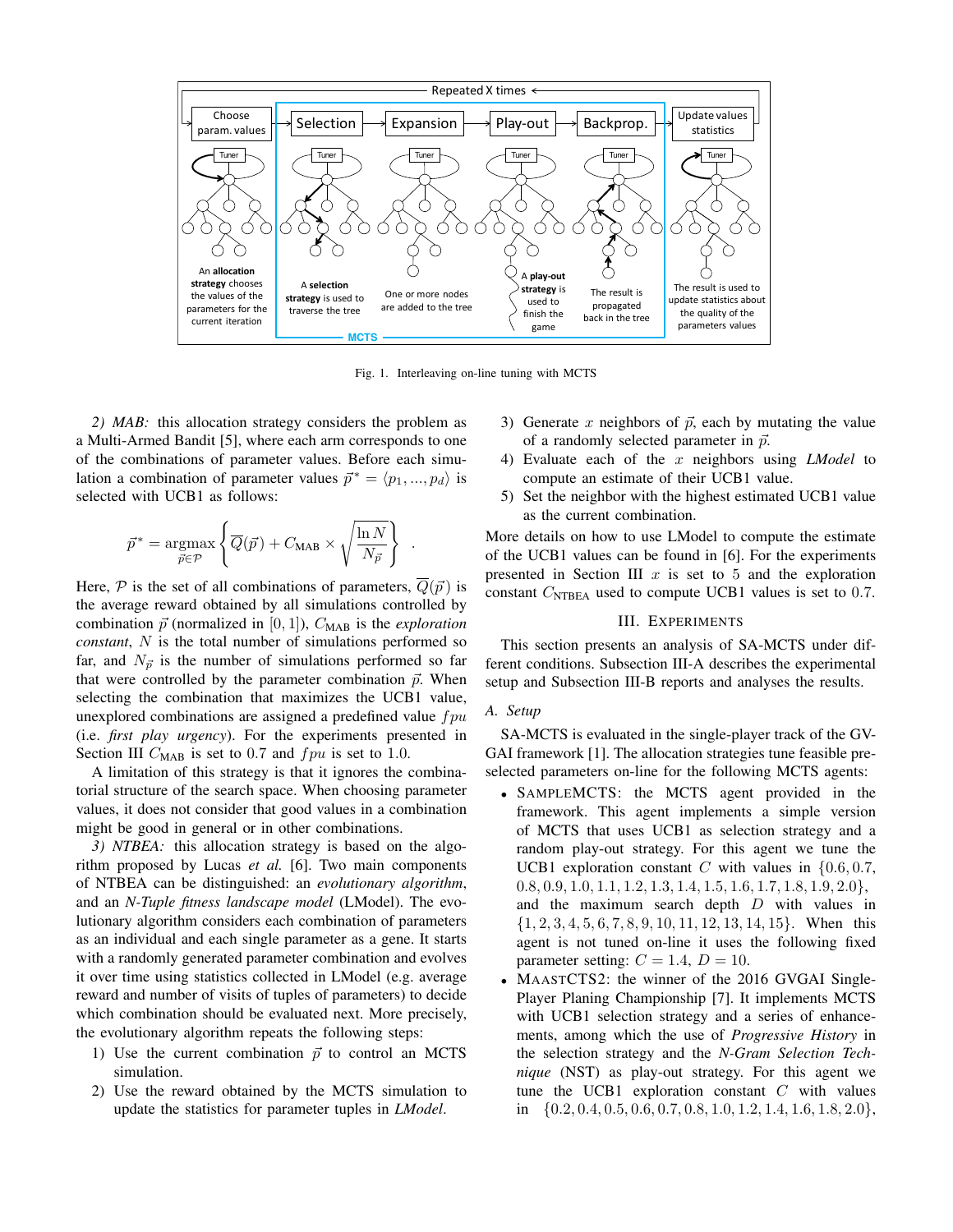

Fig. 1. Interleaving on-line tuning with MCTS

.

*2) MAB:* this allocation strategy considers the problem as a Multi-Armed Bandit [5], where each arm corresponds to one of the combinations of parameter values. Before each simulation a combination of parameter values  $\vec{p}^* = \langle p_1, ..., p_d \rangle$  is selected with UCB1 as follows:

$$
\vec{p}^* = \underset{\vec{p} \in \mathcal{P}}{\operatorname{argmax}} \left\{ \overline{Q}(\vec{p}) + C_{\text{MAB}} \times \sqrt{\frac{\ln N}{N_{\vec{p}}}} \right\}
$$

Here, P is the set of all combinations of parameters,  $Q(\vec{p})$  is the average reward obtained by all simulations controlled by combination  $\vec{p}$  (normalized in [0, 1]),  $C_{\text{MAB}}$  is the *exploration constant*, N is the total number of simulations performed so far, and  $N_{\vec{p}}$  is the number of simulations performed so far that were controlled by the parameter combination  $\vec{p}$ . When selecting the combination that maximizes the UCB1 value, unexplored combinations are assigned a predefined value  $fpu$ (i.e. *first play urgency*). For the experiments presented in Section III  $C_{\text{MAB}}$  is set to 0.7 and  $fpu$  is set to 1.0.

A limitation of this strategy is that it ignores the combinatorial structure of the search space. When choosing parameter values, it does not consider that good values in a combination might be good in general or in other combinations.

*3) NTBEA:* this allocation strategy is based on the algorithm proposed by Lucas *et al.* [6]. Two main components of NTBEA can be distinguished: an *evolutionary algorithm*, and an *N-Tuple fitness landscape model* (LModel). The evolutionary algorithm considers each combination of parameters as an individual and each single parameter as a gene. It starts with a randomly generated parameter combination and evolves it over time using statistics collected in LModel (e.g. average reward and number of visits of tuples of parameters) to decide which combination should be evaluated next. More precisely, the evolutionary algorithm repeats the following steps:

- 1) Use the current combination  $\vec{p}$  to control an MCTS simulation.
- 2) Use the reward obtained by the MCTS simulation to update the statistics for parameter tuples in *LModel*.
- 3) Generate x neighbors of  $\vec{p}$ , each by mutating the value of a randomly selected parameter in  $\vec{p}$ .
- 4) Evaluate each of the x neighbors using *LModel* to compute an estimate of their UCB1 value.
- 5) Set the neighbor with the highest estimated UCB1 value as the current combination.

More details on how to use LModel to compute the estimate of the UCB1 values can be found in [6]. For the experiments presented in Section III  $x$  is set to 5 and the exploration constant  $C_{\text{NTBEA}}$  used to compute UCB1 values is set to 0.7.

### III. EXPERIMENTS

This section presents an analysis of SA-MCTS under different conditions. Subsection III-A describes the experimental setup and Subsection III-B reports and analyses the results.

## *A. Setup*

SA-MCTS is evaluated in the single-player track of the GV-GAI framework [1]. The allocation strategies tune feasible preselected parameters on-line for the following MCTS agents:

- SAMPLEMCTS: the MCTS agent provided in the framework. This agent implements a simple version of MCTS that uses UCB1 as selection strategy and a random play-out strategy. For this agent we tune the UCB1 exploration constant C with values in  $\{0.6, 0.7, \ldots\}$  $0.8, 0.9, 1.0, 1.1, 1.2, 1.3, 1.4, 1.5, 1.6, 1.7, 1.8, 1.9, 2.0\},$ and the maximum search depth  $D$  with values in  $\{1, 2, 3, 4, 5, 6, 7, 8, 9, 10, 11, 12, 13, 14, 15\}$ . When this agent is not tuned on-line it uses the following fixed parameter setting:  $C = 1.4$ ,  $D = 10$ .
- MAASTCTS2: the winner of the 2016 GVGAI Single-Player Planing Championship [7]. It implements MCTS with UCB1 selection strategy and a series of enhancements, among which the use of *Progressive History* in the selection strategy and the *N-Gram Selection Technique* (NST) as play-out strategy. For this agent we tune the UCB1 exploration constant  $C$  with values in  $\{0.2, 0.4, 0.5, 0.6, 0.7, 0.8, 1.0, 1.2, 1.4, 1.6, 1.8, 2.0\},\$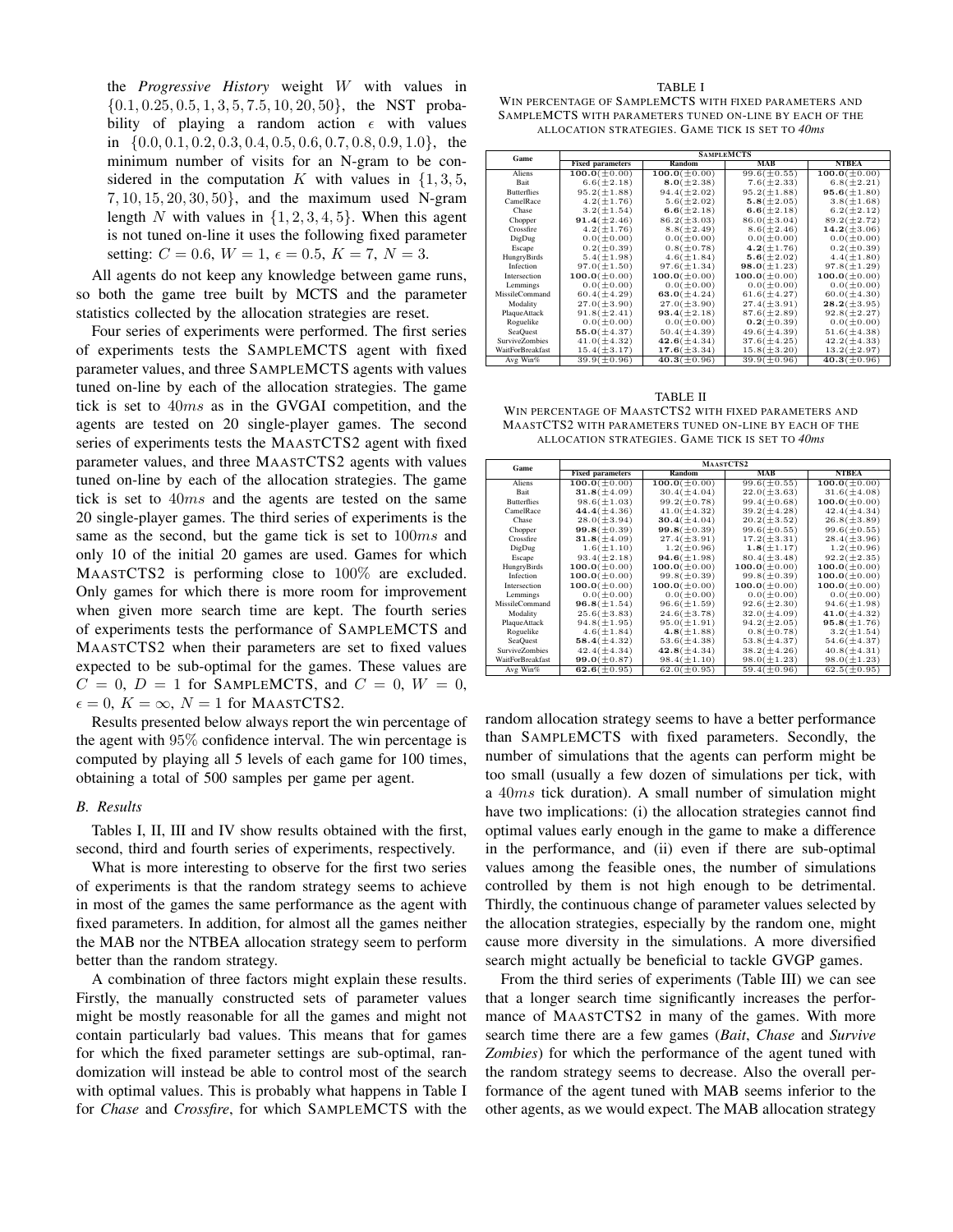the *Progressive History* weight W with values in  $\{0.1, 0.25, 0.5, 1, 3, 5, 7.5, 10, 20, 50\}$ , the NST probability of playing a random action  $\epsilon$  with values in  $\{0.0, 0.1, 0.2, 0.3, 0.4, 0.5, 0.6, 0.7, 0.8, 0.9, 1.0\}$ , the minimum number of visits for an N-gram to be considered in the computation K with values in  $\{1, 3, 5,$  $7, 10, 15, 20, 30, 50$ , and the maximum used N-gram length N with values in  $\{1, 2, 3, 4, 5\}$ . When this agent is not tuned on-line it uses the following fixed parameter setting:  $C = 0.6$ ,  $W = 1$ ,  $\epsilon = 0.5$ ,  $K = 7$ ,  $N = 3$ .

All agents do not keep any knowledge between game runs, so both the game tree built by MCTS and the parameter statistics collected by the allocation strategies are reset.

Four series of experiments were performed. The first series of experiments tests the SAMPLEMCTS agent with fixed parameter values, and three SAMPLEMCTS agents with values tuned on-line by each of the allocation strategies. The game tick is set to 40ms as in the GVGAI competition, and the agents are tested on 20 single-player games. The second series of experiments tests the MAASTCTS2 agent with fixed parameter values, and three MAASTCTS2 agents with values tuned on-line by each of the allocation strategies. The game tick is set to 40ms and the agents are tested on the same 20 single-player games. The third series of experiments is the same as the second, but the game tick is set to  $100ms$  and only 10 of the initial 20 games are used. Games for which MAASTCTS2 is performing close to 100% are excluded. Only games for which there is more room for improvement when given more search time are kept. The fourth series of experiments tests the performance of SAMPLEMCTS and MAASTCTS2 when their parameters are set to fixed values expected to be sub-optimal for the games. These values are  $C = 0$ ,  $D = 1$  for SAMPLEMCTS, and  $C = 0$ ,  $W = 0$ ,  $\epsilon = 0, K = \infty, N = 1$  for MAASTCTS2.

Results presented below always report the win percentage of the agent with 95% confidence interval. The win percentage is computed by playing all 5 levels of each game for 100 times, obtaining a total of 500 samples per game per agent.

#### *B. Results*

Tables I, II, III and IV show results obtained with the first, second, third and fourth series of experiments, respectively.

What is more interesting to observe for the first two series of experiments is that the random strategy seems to achieve in most of the games the same performance as the agent with fixed parameters. In addition, for almost all the games neither the MAB nor the NTBEA allocation strategy seem to perform better than the random strategy.

A combination of three factors might explain these results. Firstly, the manually constructed sets of parameter values might be mostly reasonable for all the games and might not contain particularly bad values. This means that for games for which the fixed parameter settings are sub-optimal, randomization will instead be able to control most of the search with optimal values. This is probably what happens in Table I for *Chase* and *Crossfire*, for which SAMPLEMCTS with the

#### TABLE I

WIN PERCENTAGE OF SAMPLEMCTS WITH FIXED PARAMETERS AND SAMPLEMCTS WITH PARAMETERS TUNED ON-LINE BY EACH OF THE ALLOCATION STRATEGIES. GAME TICK IS SET TO *40ms*

| Game                  | <b>SAMPLEMCTS</b>       |                    |                    |                    |
|-----------------------|-------------------------|--------------------|--------------------|--------------------|
|                       | <b>Fixed parameters</b> | Random             | MAB                | <b>NTBEA</b>       |
| Aliens                | 100.0( $\pm$ 0.00)      | 100.0( $\pm$ 0.00) | $99.6 (\pm 0.55)$  | 100.0( $\pm$ 0.00) |
| Bait                  | $6.6(\pm 2.18)$         | $8.0(\pm 2.38)$    | $7.6(\pm 2.33)$    | $6.8(\pm 2.21)$    |
| <b>Butterflies</b>    | $95.2 (\pm 1.88)$       | $94.4(\pm 2.02)$   | $95.2 (\pm 1.88)$  | $95.6(\pm1.80)$    |
| CamelRace             | $4.2 (\pm 1.76)$        | $5.6(\pm 2.02)$    | $5.8(\pm 2.05)$    | $3.8(\pm1.68)$     |
| Chase.                | $3.2 (\pm 1.54)$        | $6.6(\pm 2.18)$    | $6.6(\pm 2.18)$    | $6.2 (\pm 2.12)$   |
| Chopper               | $91.4(\pm 2.46)$        | $86.2 (\pm 3.03)$  | $86.0 (\pm 3.04)$  | $89.2 (\pm 2.72)$  |
| Crossfire             | $4.2 (\pm 1.76)$        | $8.8(\pm2.49)$     | $8.6(\pm2.46)$     | $14.2 (\pm 3.06)$  |
| DigDug                | $0.0 (\pm 0.00)$        | $0.0 (\pm 0.00)$   | $0.0(\pm 0.00)$    | $0.0 (\pm 0.00)$   |
| Escape                | $0.2 (\pm 0.39)$        | $0.8(\pm 0.78)$    | $4.2 (\pm 1.76)$   | $0.2 (\pm 0.39)$   |
| HungryBirds           | $5.4(\pm1.98)$          | $4.6(\pm1.84)$     | $5.6(\pm2.02)$     | $4.4(\pm1.80)$     |
| Infection             | $97.0(\pm1.50)$         | $97.6 (\pm 1.34)$  | $98.0(\pm1.23)$    | $97.8(\pm 1.29)$   |
| Intersection          | 100.0( $\pm$ 0.00)      | 100.0( $\pm$ 0.00) | 100.0( $\pm$ 0.00) | 100.0( $\pm$ 0.00) |
| Lemmings              | $0.0 (\pm 0.00)$        | $0.0 (\pm 0.00)$   | $0.0(\pm 0.00)$    | $0.0 (\pm 0.00)$   |
| MissileCommand        | $60.4(\pm 4.29)$        | 63.0( $\pm$ 4.24)  | $61.6 (\pm 4.27)$  | $60.0 (\pm 4.30)$  |
| Modality              | $27.0(\pm3.90)$         | $27.0(\pm3.90)$    | $27.4(\pm 3.91)$   | $28.2(\pm 3.95)$   |
| <b>PlaqueAttack</b>   | $91.8(\pm 2.41)$        | 93.4 $(\pm 2.18)$  | $87.6(\pm2.89)$    | $92.8(\pm 2.27)$   |
| Roguelike             | $0.0 (\pm 0.00)$        | $0.0 (\pm 0.00)$   | $0.2 (\pm 0.39)$   | $0.0 (\pm 0.00)$   |
| SeaQuest              | 55.0( $\pm$ 4.37)       | $50.4(\pm 4.39)$   | $49.6(\pm 4.39)$   | $51.6(\pm 4.38)$   |
| <b>SurviveZombies</b> | $41.0(\pm 4.32)$        | $42.6(\pm 4.34)$   | $37.6(\pm 4.25)$   | $42.2(\pm 4.33)$   |
| WaitForBreakfast      | $15.4(\pm 3.17)$        | $17.6(\pm 3.34)$   | $15.8(\pm3.20)$    | $13.2 (\pm 2.97)$  |
| Avg Win%              | $39.9(\pm 0.96)$        | $40.3(\pm 0.96)$   | $39.9(\pm 0.96)$   | $40.3(\pm 0.96)$   |

TABLE II WIN PERCENTAGE OF MAASTCTS2 WITH FIXED PARAMETERS AND MAASTCTS2 WITH PARAMETERS TUNED ON-LINE BY EACH OF THE ALLOCATION STRATEGIES. GAME TICK IS SET TO *40ms*

| Game                  | MAASTCTS2               |                    |                    |                    |
|-----------------------|-------------------------|--------------------|--------------------|--------------------|
|                       | <b>Fixed parameters</b> | Random             | <b>MAB</b>         | <b>NTBEA</b>       |
| Aliens                | 100.0( $\pm$ 0.00)      | 100.0( $\pm$ 0.00) | $99.6 (\pm 0.55)$  | 100.0( $\pm$ 0.00) |
| Bait                  | $31.8(\pm 4.09)$        | $30.4(\pm 4.04)$   | $22.0 (\pm 3.63)$  | $31.6 (\pm 4.08)$  |
| <b>Butterflies</b>    | $98.6(\pm1.03)$         | $99.2 (\pm 0.78)$  | $99.4(\pm 0.68)$   | 100.0( $\pm$ 0.00) |
| CamelRace             | $44.4(\pm 4.36)$        | $41.0 (\pm 4.32)$  | $39.2 (\pm 4.28)$  | $42.4(\pm 4.34)$   |
| <b>Chase</b>          | $28.0 (\pm 3.94)$       | $30.4(\pm 4.04)$   | $20.2 (\pm 3.52)$  | $26.8(\pm 3.89)$   |
| Chopper               | $99.8(\pm0.39)$         | 99.8( $\pm$ 0.39)  | $99.6 (\pm 0.55)$  | $99.6 (\pm 0.55)$  |
| Crossfire             | $31.8(\pm 4.09)$        | $27.4(\pm 3.91)$   | $17.2 (\pm 3.31)$  | $28.4(\pm 3.96)$   |
| DigDug                | $1.6(\pm 1.10)$         | $1.2 (\pm 0.96)$   | $1.8(\pm 1.17)$    | $1.2 (\pm 0.96)$   |
| Escape                | $93.4(\pm 2.18)$        | $94.6(\pm1.98)$    | $80.4(\pm 3.48)$   | $92.2 (\pm 2.35)$  |
| HungryBirds           | 100.0( $\pm$ 0.00)      | $100.0 (\pm 0.00)$ | 100.0( $\pm$ 0.00) | 100.0( $\pm$ 0.00) |
| Infection             | 100.0( $\pm$ 0.00)      | $99.8(\pm 0.39)$   | $99.8(\pm 0.39)$   | 100.0( $\pm$ 0.00) |
| Intersection          | 100.0( $\pm$ 0.00)      | 100.0( $\pm$ 0.00) | 100.0( $\pm$ 0.00) | 100.0( $\pm$ 0.00) |
| Lemmings              | $0.0(\pm 0.00)$         | $0.0 (\pm 0.00)$   | $0.0(\pm 0.00)$    | $0.0 (\pm 0.00)$   |
| <b>MissileCommand</b> | $96.8(\pm 1.54)$        | $96.6(\pm1.59)$    | $92.6 (\pm 2.30)$  | $94.6(\pm1.98)$    |
| Modality              | $25.6 (\pm 3.83)$       | $24.6 (\pm 3.78)$  | $32.0 (\pm 4.09)$  | $41.0(\pm 4.32)$   |
| <b>PlaqueAttack</b>   | $94.8(\pm1.95)$         | $95.0 (\pm 1.91)$  | $94.2 (\pm 2.05)$  | $95.8(\pm 1.76)$   |
| Roguelike             | $4.6(\pm 1.84)$         | $4.8(\pm1.88)$     | $0.8(\pm 0.78)$    | $3.2 (\pm 1.54)$   |
| SeaQuest              | 58.4 $(\pm 4.32)$       | $53.6(\pm 4.38)$   | $53.8(\pm 4.37)$   | $54.6(\pm 4.37)$   |
| <b>SurviveZombies</b> | $42.4(\pm 4.34)$        | $42.8(\pm 4.34)$   | $38.2 (\pm 4.26)$  | $40.8(\pm 4.31)$   |
| WaitForBreakfast      | 99.0( $\pm$ 0.87)       | $98.4(\pm1.10)$    | $98.0 (\pm 1.23)$  | $98.0 (\pm 1.23)$  |
| Avg Win%              | 62.6( $\pm$ 0.95)       | $62.0 (\pm 0.95)$  | $59.4(\pm 0.96)$   | $62.5(\pm 0.95)$   |

random allocation strategy seems to have a better performance than SAMPLEMCTS with fixed parameters. Secondly, the number of simulations that the agents can perform might be too small (usually a few dozen of simulations per tick, with a 40ms tick duration). A small number of simulation might have two implications: (i) the allocation strategies cannot find optimal values early enough in the game to make a difference in the performance, and (ii) even if there are sub-optimal values among the feasible ones, the number of simulations controlled by them is not high enough to be detrimental. Thirdly, the continuous change of parameter values selected by the allocation strategies, especially by the random one, might cause more diversity in the simulations. A more diversified search might actually be beneficial to tackle GVGP games.

From the third series of experiments (Table III) we can see that a longer search time significantly increases the performance of MAASTCTS2 in many of the games. With more search time there are a few games (*Bait*, *Chase* and *Survive Zombies*) for which the performance of the agent tuned with the random strategy seems to decrease. Also the overall performance of the agent tuned with MAB seems inferior to the other agents, as we would expect. The MAB allocation strategy